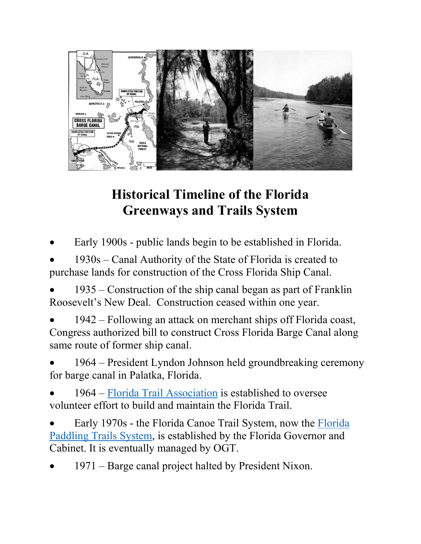

## **Historical Timeline of the Florida Greenways and Trails System**

Early 1900s - public lands begin to be established in Florida.

• 1930s – Canal Authority of the State of Florida is created to purchase lands for construction of the Cross Florida Ship Canal.

• 1935 – Construction of the ship canal began as part of Franklin Roosevelt's New Deal. Construction ceased within one year.

- 1942 Following an attack on merchant ships off Florida coast, Congress authorized bill to construct Cross Florida Barge Canal along same route of former ship canal.
- 1964 President Lyndon Johnson held groundbreaking ceremony for barge canal in Palatka, Florida.
- 1964 – [Florida Trail Association](https://floridatrail.org/) is established to oversee volunteer effort to build and maintain the Florida Trail.
- Early 1970s the Florida Canoe Trail System, now the [Florida](https://floridadep.gov/PaddlingTrails)  [Paddling Trails System,](https://floridadep.gov/PaddlingTrails) is established by the Florida Governor and Cabinet. It is eventually managed by OGT.
- 1971 Barge canal project halted by President Nixon.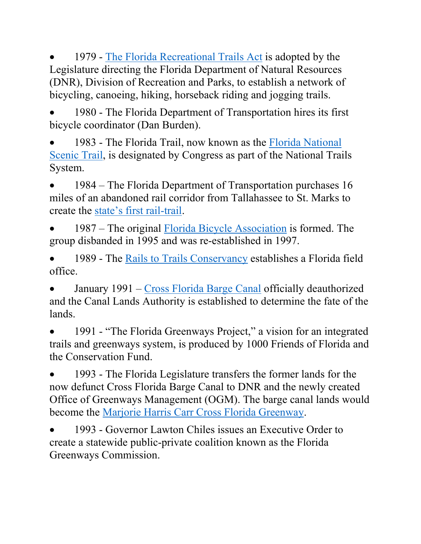• 1979 - [The Florida Recreational Trails Act](http://www.leg.state.fl.us/statutes/index.cfm?App_mode=Display_Statute&Search_String=&URL=0200-0299/0260/Sections/0260.012.html) is adopted by the Legislature directing the Florida Department of Natural Resources (DNR), Division of Recreation and Parks, to establish a network of bicycling, canoeing, hiking, horseback riding and jogging trails.

• 1980 - The Florida Department of Transportation hires its first bicycle coordinator (Dan Burden).

• 1983 - The Florida Trail, now known as the [Florida National](https://www.fs.usda.gov/fnst)  [Scenic Trail,](https://www.fs.usda.gov/fnst) is designated by Congress as part of the National Trails System.

• 1984 – The Florida Department of Transportation purchases 16 miles of an abandoned rail corridor from Tallahassee to St. Marks to create the [state's first rail-trail.](https://www.floridastateparks.org/parks-and-trails/tallahassee-st-marks-historic-railroad-state-trail)

• 1987 – The original [Florida Bicycle Association](https://floridabicycle.org/) is formed. The group disbanded in 1995 and was re-established in 1997.

• 1989 - The [Rails to Trails Conservancy](https://www.railstotrails.org/our-work/united-states/florida/) establishes a Florida field office.

• January 1991 – [Cross Florida Barge Canal](https://www.floridastateparks.org/learn/history-cross-florida-greenway) officially deauthorized and the Canal Lands Authority is established to determine the fate of the lands.

1991 - "The Florida Greenways Project," a vision for an integrated trails and greenways system, is produced by 1000 Friends of Florida and the Conservation Fund.

• 1993 - The Florida Legislature transfers the former lands for the now defunct Cross Florida Barge Canal to DNR and the newly created Office of Greenways Management (OGM). The barge canal lands would become the [Marjorie Harris Carr Cross Florida Greenway.](https://www.floridastateparks.org/Cross-Florida)

• 1993 - Governor Lawton Chiles issues an Executive Order to create a statewide public-private coalition known as the Florida Greenways Commission.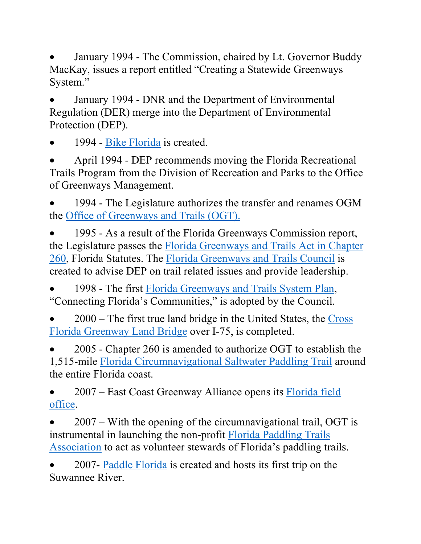• January 1994 - The Commission, chaired by Lt. Governor Buddy MacKay, issues a report entitled "Creating a Statewide Greenways System."

• January 1994 - DNR and the Department of Environmental Regulation (DER) merge into the Department of Environmental Protection (DEP).

• 1994 - [Bike Florida](https://www.bikeflorida.org/) is created.

• April 1994 - DEP recommends moving the Florida Recreational Trails Program from the Division of Recreation and Parks to the Office of Greenways Management.

1994 - The Legislature authorizes the transfer and renames OGM the [Office of Greenways and Trails \(OGT\).](https://floridadep.gov/ogt) 

• 1995 - As a result of the Florida Greenways Commission report, the Legislature passes the [Florida Greenways and Trails Act in Chapter](http://www.leg.state.fl.us/Statutes/index.cfm?App_mode=Display_Statute&URL=0200-0299/0260/0260.html)  [260,](http://www.leg.state.fl.us/Statutes/index.cfm?App_mode=Display_Statute&URL=0200-0299/0260/0260.html) Florida Statutes. The [Florida Greenways and Trails Council](http://www.leg.state.fl.us/Statutes/index.cfm?App_mode=Display_Statute&URL=0200-0299/0260/Sections/0260.0142.html) is created to advise DEP on trail related issues and provide leadership.

• 1998 - The first Florida Greenways and Trails System Plan, "Connecting Florida's Communities," is adopted by the Council.

• 2000 – The first true land bridge in the United States, the [Cross](https://www.floridastateparks.org/parks-and-trails/landbridge-trailhead)  [Florida Greenway Land Bridge](https://www.floridastateparks.org/parks-and-trails/landbridge-trailhead) over I-75, is completed.

• 2005 - Chapter 260 is amended to authorize OGT to establish the 1,515-mile [Florida Circumnavigational Saltwater Paddling Trail](https://floridadep.gov/parks/ogt/content/florida-circumnavigational-saltwater-paddling-trail) around the entire Florida coast.

• 2007 – East Coast Greenway Alliance opens its Florida field [office.](https://www.greenway.org/states/florida)

• 2007 – With the opening of the circumnavigational trail, OGT is instrumental in launching the non-profit [Florida Paddling Trails](https://www.floridapaddlingtrails.com/)  [Association](https://www.floridapaddlingtrails.com/) to act as volunteer stewards of Florida's paddling trails.

• 2007- [Paddle Florida](https://www.paddleflorida.org/) is created and hosts its first trip on the Suwannee River.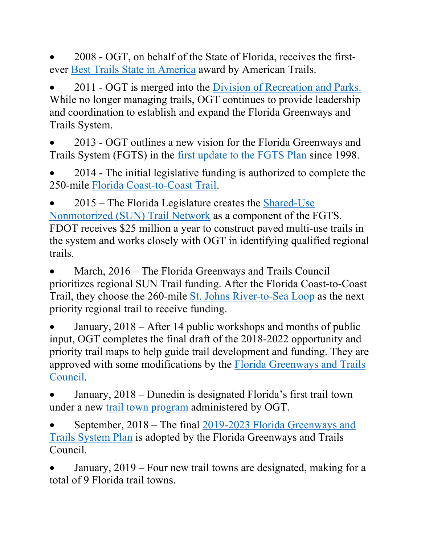• 2008 - OGT, on behalf of the State of Florida, receives the firstever [Best Trails State in America](https://www.americantrails.org/communications/awards/florida) award by American Trails.

• 2011 - OGT is merged into the [Division of Recreation and Parks.](https://floridadep.gov/parks) While no longer managing trails, OGT continues to provide leadership and coordination to establish and expand the Florida Greenways and Trails System.

• 2013 - OGT outlines a new vision for the Florida Greenways and Trails System (FGTS) in the [first update to the FGTS Plan](https://floridadep.gov/sites/default/files/FGTS_Plan_2013-17_publication_0.pdf) since 1998.

• 2014 - The initial legislative funding is authorized to complete the 250-mile [Florida Coast-to-Coast Trail.](https://floridadep.gov/parks/ogt/content/florida-coast-coast-trail)

• 2015 – The Florida Legislature creates the [Shared-Use](http://floridasuntrail.com/)  [Nonmotorized \(SUN\) Trail Network](http://floridasuntrail.com/) as a component of the FGTS. FDOT receives \$25 million a year to construct paved multi-use trails in the system and works closely with OGT in identifying qualified regional trails.

March, 2016 – The Florida Greenways and Trails Council prioritizes regional SUN Trail funding. After the Florida Coast-to-Coast Trail, they choose the 260-mile [St. Johns River-to-Sea Loop](https://river2sealoop.org/home) as the next priority regional trail to receive funding.

• January, 2018 – After 14 public workshops and months of public input, OGT completes the final draft of the 2018-2022 opportunity and priority trail maps to help guide trail development and funding. They are approved with some modifications by the [Florida Greenways and Trails](https://floridadep.gov/parks/ogt/content/florida-greenways-and-trails-council)  [Council.](https://floridadep.gov/parks/ogt/content/florida-greenways-and-trails-council)

• January, 2018 – Dunedin is designated Florida's first trail town under a new [trail town program](https://floridadep.gov/parks/ogt/content/trail-town-program) administered by OGT.

• September, 2018 – The final [2019-2023 Florida Greenways and](https://floridadep.gov/sites/default/files/FL-Greenway%2BTrails-System-Plan-2019%2C%202023.pdf)  [Trails System Plan](https://floridadep.gov/sites/default/files/FL-Greenway%2BTrails-System-Plan-2019%2C%202023.pdf) is adopted by the Florida Greenways and Trails Council.

• January, 2019 – Four new trail towns are designated, making for a total of 9 Florida trail towns.